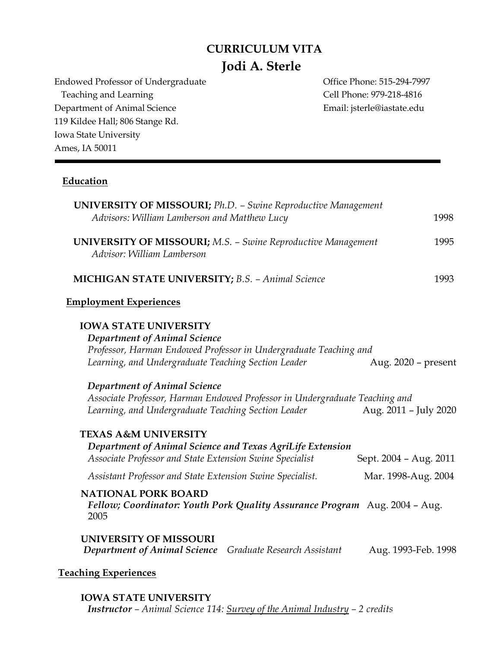# **CURRICULUM VITA Jodi A. Sterle**

Endowed Professor of Undergraduate **Office Phone: 515-294-7997** Teaching and Learning Teaching Cell Phone: 979-218-4816 Department of Animal Science **Email:** jsterle@iastate.edu 119 Kildee Hall; 806 Stange Rd. Iowa State University Ames, IA 50011

# **Education**

| <b>UNIVERSITY OF MISSOURI;</b> Ph.D. - Swine Reproductive Management<br>Advisors: William Lamberson and Matthew Lucy                                                                                                                            | 1998 |
|-------------------------------------------------------------------------------------------------------------------------------------------------------------------------------------------------------------------------------------------------|------|
| <b>UNIVERSITY OF MISSOURI;</b> M.S. - Swine Reproductive Management<br>Advisor: William Lamberson                                                                                                                                               | 1995 |
| <b>MICHIGAN STATE UNIVERSITY; B.S. - Animal Science</b>                                                                                                                                                                                         | 1993 |
| <b>Employment Experiences</b>                                                                                                                                                                                                                   |      |
| <b>IOWA STATE UNIVERSITY</b><br>Department of Animal Science<br>Professor, Harman Endowed Professor in Undergraduate Teaching and<br>Learning, and Undergraduate Teaching Section Leader<br>Aug. 2020 - present<br>Department of Animal Science |      |
| Associate Professor, Harman Endowed Professor in Undergraduate Teaching and<br>Aug. 2011 - July 2020<br>Learning, and Undergraduate Teaching Section Leader                                                                                     |      |
| <b>TEXAS A&amp;M UNIVERSITY</b><br>Department of Animal Science and Texas AgriLife Extension<br>Associate Professor and State Extension Swine Specialist<br>Sept. 2004 - Aug. 2011                                                              |      |
| Assistant Professor and State Extension Swine Specialist.<br>Mar. 1998-Aug. 2004                                                                                                                                                                |      |
| <b>NATIONAL PORK BOARD</b><br>Fellow; Coordinator: Youth Pork Quality Assurance Program Aug. 2004 - Aug.<br>2005                                                                                                                                |      |
| UNIVERSITY OF MISSOURI<br><b>Department of Animal Science</b><br>Graduate Research Assistant<br>Aug. 1993-Feb. 1998                                                                                                                             |      |
| <b>Teaching Experiences</b>                                                                                                                                                                                                                     |      |

**IOWA STATE UNIVERSITY** *Instructor – Animal Science 114: Survey of the Animal Industry – 2 credits*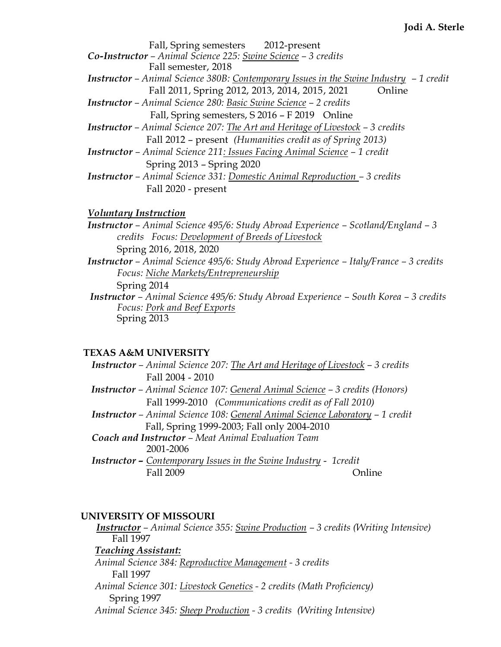| Fall, Spring semesters 2012-present                                                           |
|-----------------------------------------------------------------------------------------------|
| <b>Co-Instructor</b> – Animal Science 225: Swine Science – 3 credits                          |
| Fall semester, 2018                                                                           |
| <b>Instructor</b> – Animal Science 380B: Contemporary Issues in the Swine Industry – 1 credit |
| Fall 2011, Spring 2012, 2013, 2014, 2015, 2021<br>Online                                      |
| <b>Instructor</b> – Animal Science 280: Basic Swine Science – 2 credits                       |
| Fall, Spring semesters, S 2016 - F 2019 Online                                                |
| <b>Instructor</b> - Animal Science 207: The Art and Heritage of Livestock - 3 credits         |
| Fall 2012 – present (Humanities credit as of Spring 2013)                                     |
| <b>Instructor</b> - Animal Science 211: Issues Facing Animal Science - 1 credit               |
| Spring 2013 - Spring 2020                                                                     |
| <b>Instructor</b> - Animal Science 331: Domestic Animal Reproduction - 3 credits              |
| Fall 2020 - present                                                                           |

## *Voluntary Instruction*

- *Instructor – Animal Science 495/6: Study Abroad Experience – Scotland/England – 3 credits Focus: Development of Breeds of Livestock* Spring 2016, 2018, 2020
- *Instructor – Animal Science 495/6: Study Abroad Experience – Italy/France – 3 credits Focus: Niche Markets/Entrepreneurship* Spring 2014
- *Instructor – Animal Science 495/6: Study Abroad Experience – South Korea – 3 credits Focus: Pork and Beef Exports* Spring 2013

## **TEXAS A&M UNIVERSITY**

| <b>Instructor</b> - Animal Science 207: The Art and Heritage of Livestock - 3 credits |
|---------------------------------------------------------------------------------------|
| Fall 2004 - 2010                                                                      |
| <b>Instructor</b> – Animal Science 107: General Animal Science – 3 credits (Honors)   |
| Fall 1999-2010 (Communications credit as of Fall 2010)                                |
| Instructor - Animal Science 108: General Animal Science Laboratory - 1 credit         |
| Fall, Spring 1999-2003; Fall only 2004-2010                                           |
| <b>Coach and Instructor - Meat Animal Evaluation Team</b>                             |
| 2001-2006                                                                             |
| <b>Instructor - Contemporary Issues in the Swine Industry - 1credit</b>               |
| Fall 2009<br>$lmlin\rho$                                                              |

# **UNIVERSITY OF MISSOURI**

*Instructor – Animal Science 355: Swine Production – 3 credits (Writing Intensive)* Fall 1997 *Teaching Assistant: Animal Science 384: Reproductive Management - 3 credits* Fall 1997 *Animal Science 301: Livestock Genetics - 2 credits (Math Proficiency)*  Spring 1997 *Animal Science 345: Sheep Production - 3 credits (Writing Intensive)*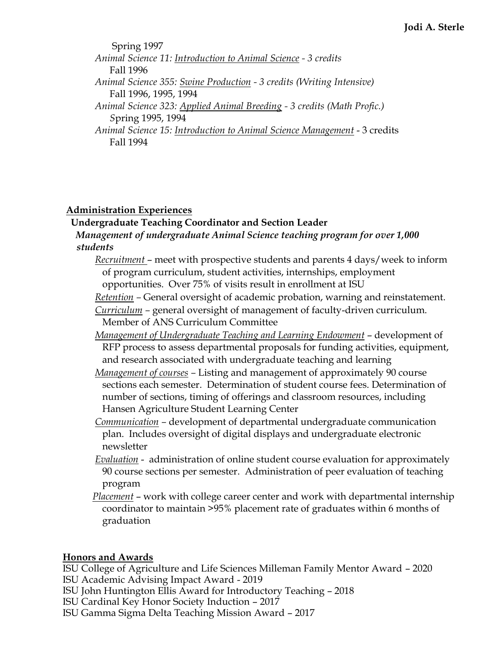Spring 1997 *Animal Science 11: Introduction to Animal Science - 3 credits*  Fall 1996 *Animal Science 355: Swine Production - 3 credits (Writing Intensive)* Fall 1996, 1995, 1994 *Animal Science 323: Applied Animal Breeding - 3 credits (Math Profic.) S*pring 1995, 1994 *Animal Science 15: Introduction to Animal Science Management* - 3 credits Fall 1994

# **Administration Experiences**

# **Undergraduate Teaching Coordinator and Section Leader**  *Management of undergraduate Animal Science teaching program for over 1,000 students*

- *Recruitment* meet with prospective students and parents 4 days/week to inform of program curriculum, student activities, internships, employment opportunities. Over 75% of visits result in enrollment at ISU
- *Retention –* General oversight of academic probation, warning and reinstatement.
- *Curriculum –* general oversight of management of faculty-driven curriculum.
- Member of ANS Curriculum Committee
- *Management of Undergraduate Teaching and Learning Endowment* development of RFP process to assess departmental proposals for funding activities, equipment, and research associated with undergraduate teaching and learning
- *Management of courses –* Listing and management of approximately 90 course sections each semester. Determination of student course fees. Determination of number of sections, timing of offerings and classroom resources, including Hansen Agriculture Student Learning Center
- *Communication –* development of departmental undergraduate communication plan. Includes oversight of digital displays and undergraduate electronic newsletter
- *Evaluation* administration of online student course evaluation for approximately 90 course sections per semester. Administration of peer evaluation of teaching program
- *Placement* work with college career center and work with departmental internship coordinator to maintain >95% placement rate of graduates within 6 months of graduation

# **Honors and Awards**

ISU College of Agriculture and Life Sciences Milleman Family Mentor Award – 2020 ISU Academic Advising Impact Award - 2019

- ISU John Huntington Ellis Award for Introductory Teaching 2018
- ISU Cardinal Key Honor Society Induction 2017
- ISU Gamma Sigma Delta Teaching Mission Award 2017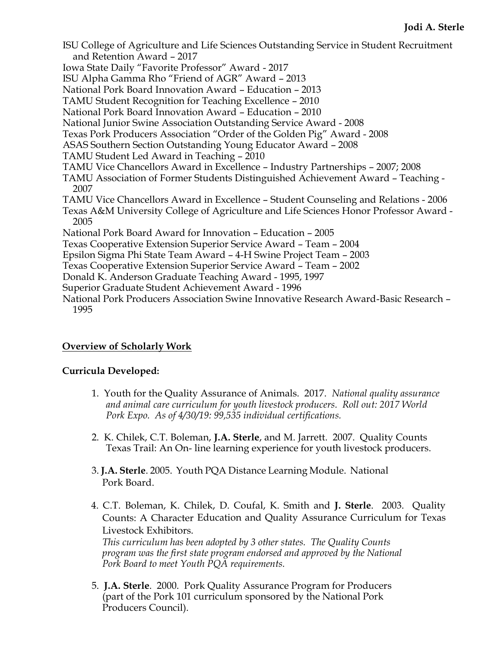- ISU College of Agriculture and Life Sciences Outstanding Service in Student Recruitment and Retention Award – 2017

Iowa State Daily "Favorite Professor" Award - 2017

ISU Alpha Gamma Rho "Friend of AGR" Award – 2013

National Pork Board Innovation Award – Education – 2013

TAMU Student Recognition for Teaching Excellence – 2010

National Pork Board Innovation Award – Education – 2010

National Junior Swine Association Outstanding Service Award - 2008

Texas Pork Producers Association "Order of the Golden Pig" Award - 2008

ASAS Southern Section Outstanding Young Educator Award – 2008

- TAMU Student Led Award in Teaching 2010
- TAMU Vice Chancellors Award in Excellence Industry Partnerships 2007; 2008

TAMU Association of Former Students Distinguished Achievement Award – Teaching - 2007

TAMU Vice Chancellors Award in Excellence – Student Counseling and Relations - 2006

Texas A&M University College of Agriculture and Life Sciences Honor Professor Award - 2005

National Pork Board Award for Innovation – Education – 2005

Texas Cooperative Extension Superior Service Award – Team – 2004

Epsilon Sigma Phi State Team Award – 4-H Swine Project Team – 2003

Texas Cooperative Extension Superior Service Award – Team – 2002

Donald K. Anderson Graduate Teaching Award - 1995, 1997

Superior Graduate Student Achievement Award - 1996

National Pork Producers Association Swine Innovative Research Award-Basic Research – 1995

# **Overview of Scholarly Work**

## **Curricula Developed:**

- 1. Youth for the Quality Assurance of Animals. 2017. *National quality assurance and animal care curriculum for youth livestock producers. Roll out: 2017 World Pork Expo. As of 4/30/19: 99,535 individual certifications.*
- 2. K. Chilek, C.T. Boleman, **J.A. Sterle**, and M. Jarrett. 2007. Quality Counts Texas Trail: An On- line learning experience for youth livestock producers.
- 3. **J.A. Sterle**. 2005. Youth PQA Distance Learning Module. National Pork Board.
- 4. C.T. Boleman, K. Chilek, D. Coufal, K. Smith and **J. Sterle**. 2003. Quality Counts: A Character Education and Quality Assurance Curriculum for Texas Livestock Exhibitors.

*This curriculum has been adopted by 3 other states. The Quality Counts program was the first state program endorsed and approved by the National Pork Board to meet Youth PQA requirements.*

5. **J.A. Sterle**. 2000. Pork Quality Assurance Program for Producers (part of the Pork 101 curriculum sponsored by the National Pork Producers Council).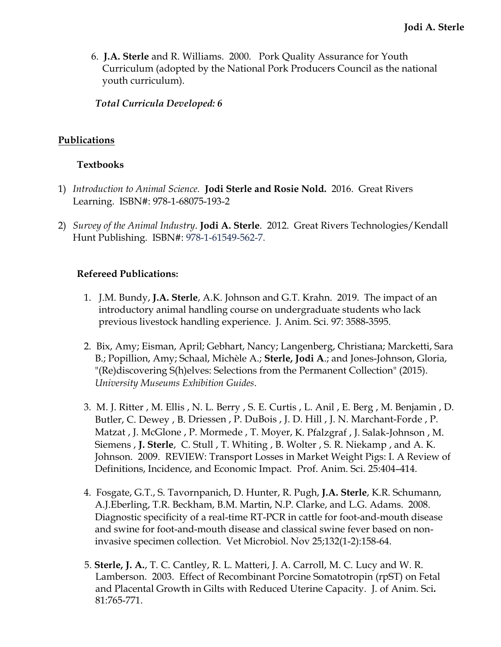6. **J.A. Sterle** and R. Williams. 2000. Pork Quality Assurance for Youth Curriculum (adopted by the National Pork Producers Council as the national youth curriculum).

*Total Curricula Developed: 6*

## **Publications**

## **Textbooks**

- 1) *Introduction to Animal Science.* **Jodi Sterle and Rosie Nold.** 2016. Great Rivers Learning. ISBN#: 978-1-68075-193-2
- 2) *Survey of the Animal Industry*. **Jodi A. Sterle**. 2012. Great Rivers Technologies/Kendall Hunt Publishing. ISBN#: 978-1-61549-562-7.

## **Refereed Publications:**

- 1. J.M. Bundy, **J.A. Sterle**, A.K. Johnson and G.T. Krahn. 2019. The impact of an introductory animal handling course on undergraduate students who lack previous livestock handling experience. J. Anim. Sci. 97: 3588-3595.
- 2. Bix, Amy; Eisman, April; Gebhart, Nancy; Langenberg, Christiana; Marcketti, Sara B.; Popillion, Amy; Schaal, Michèle A.; **Sterle, Jodi A**.; and Jones-Johnson, Gloria, "(Re)discovering S(h)elves: Selections from the Permanent Collection" (2015). *University Museums Exhibition Guides*.
- 3. M. J. Ritter , M. Ellis , N. L. Berry , S. E. Curtis , L. Anil , E. Berg , M. Benjamin , D. Butler, C. Dewey , B. Driessen , P. DuBois , J. D. Hill , J. N. Marchant-Forde , P. Matzat , J. McGlone , P. Mormede , T. Moyer, K. Pfalzgraf , J. Salak-Johnson , M. Siemens , **J. Sterle**, C. Stull , T. Whiting , B. Wolter , S. R. Niekamp , and A. K. Johnson. 2009. REVIEW: Transport Losses in Market Weight Pigs: I. A Review of Definitions, Incidence, and Economic Impact. Prof. Anim. Sci. 25:404–414.
- 4. Fosgate, G.T., S. Tavornpanich, D. Hunter, R. Pugh, **J.A. Sterle**, K.R. Schumann, A.J.Eberling, T.R. Beckham, B.M. Martin, N.P. Clarke, and L.G. Adams. 2008. [Diagnostic specificity of a real-time RT-PCR in cattle for foot-and-mouth disease](http://www.ncbi.nlm.nih.gov/pubmed/18499360)  [and swine for foot-and-mouth disease and classical swine fever based on non](http://www.ncbi.nlm.nih.gov/pubmed/18499360)[invasive specimen collection.](http://www.ncbi.nlm.nih.gov/pubmed/18499360) Vet Microbiol. Nov 25;132(1-2):158-64.
- 5. **Sterle, J. A.**, T. C. Cantley, R. L. Matteri, J. A. Carroll, M. C. Lucy and W. R. Lamberson. 2003. Effect of Recombinant Porcine Somatotropin (rpST) on Fetal and Placental Growth in Gilts with Reduced Uterine Capacity. J. of Anim. Sci**.** 81:765-771.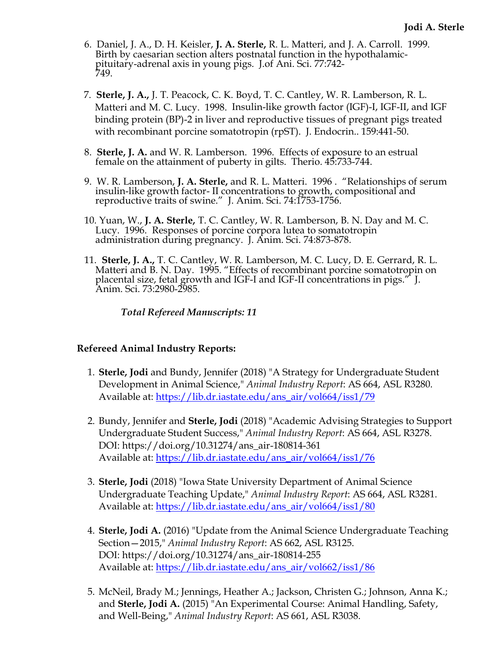- 6. Daniel, J. A., D. H. Keisler, **J. A. Sterle,** R. L. Matteri, and J. A. Carroll. 1999. Birth by caesarian section alters postnatal function in the hypothalamicpituitary-adrenal axis in young pigs. J.of Ani. Sci. 77:742- 749.
- 7. **Sterle, J. A.,** J. T. Peacock, C. K. Boyd, T. C. Cantley, W. R. Lamberson, R. L. Matteri and M. C. Lucy. 1998. Insulin-like growth factor (IGF)-I, IGF-II, and IGF binding protein (BP)-2 in liver and reproductive tissues of pregnant pigs treated with recombinant porcine somatotropin (rpST). J. Endocrin.. 159:441-50.
- 8. **Sterle, J. A.** and W. R. Lamberson. 1996. Effects of exposure to an estrual female on the attainment of puberty in gilts. Therio. 45:733-744.
- 9. W. R. Lamberson, **J. A. Sterle,** and R. L. Matteri. 1996 . "Relationships of serum insulin-like growth factor- II concentrations to growth, compositional and reproductive traits of swine." J. Anim. Sci. 74:1753-1756.
- 10. Yuan, W., **J. A. Sterle,** T. C. Cantley, W. R. Lamberson, B. N. Day and M. C. Lucy. 1996. Responses of porcine corpora lutea to somatotropin administration during pregnancy. J. Anim. Sci. 74:873-878.
- 11. **Sterle, J. A.,** T. C. Cantley, W. R. Lamberson, M. C. Lucy, D. E. Gerrard, R. L. Matteri and B. N. Day. 1995. "Effects of recombinant porcine somatotropin on placental size, fetal growth and IGF-I and IGF-II concentrations in pigs." J. Anim. Sci. 73:2980-2985.

*Total Refereed Manuscripts: 11*

#### **Refereed Animal Industry Reports:**

- 1. **Sterle, Jodi** and Bundy, Jennifer (2018) "A Strategy for Undergraduate Student Development in Animal Science," *Animal Industry Report*: AS 664, ASL R3280. Available at: [https://lib.dr.iastate.edu/ans\\_air/vol664/iss1/79](https://lib.dr.iastate.edu/ans_air/vol664/iss1/79)
- 2. Bundy, Jennifer and **Sterle, Jodi** (2018) "Academic Advising Strategies to Support Undergraduate Student Success," *Animal Industry Report*: AS 664, ASL R3278. DOI: https://doi.org/10.31274/ans\_air-180814-361 Available at: [https://lib.dr.iastate.edu/ans\\_air/vol664/iss1/76](https://lib.dr.iastate.edu/ans_air/vol664/iss1/76)
- 3. **Sterle, Jodi** (2018) "Iowa State University Department of Animal Science Undergraduate Teaching Update," *Animal Industry Report*: AS 664, ASL R3281. Available at: [https://lib.dr.iastate.edu/ans\\_air/vol664/iss1/80](https://lib.dr.iastate.edu/ans_air/vol664/iss1/80)
- 4. **Sterle, Jodi A.** (2016) "Update from the Animal Science Undergraduate Teaching Section—2015," *Animal Industry Report*: AS 662, ASL R3125. DOI: https://doi.org/10.31274/ans\_air-180814-255 Available at: [https://lib.dr.iastate.edu/ans\\_air/vol662/iss1/86](https://lib.dr.iastate.edu/ans_air/vol662/iss1/86)
- 5. McNeil, Brady M.; Jennings, Heather A.; Jackson, Christen G.; Johnson, Anna K.; and **Sterle, Jodi A.** (2015) "An Experimental Course: Animal Handling, Safety, and Well-Being," *Animal Industry Report*: AS 661, ASL R3038.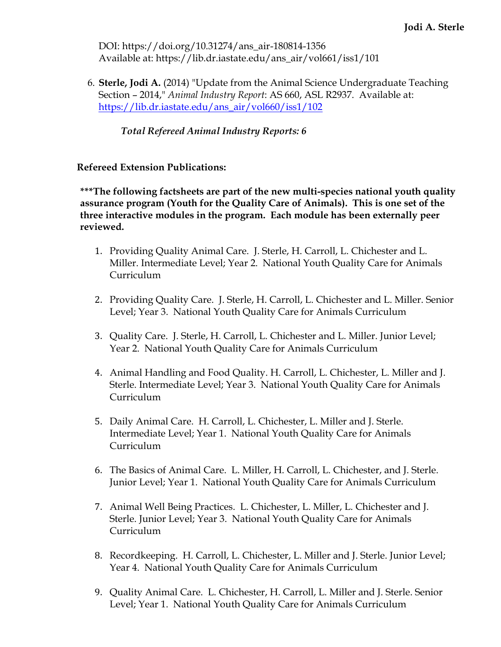DOI: https://doi.org/10.31274/ans\_air-180814-1356 Available at: https://lib.dr.iastate.edu/ans\_air/vol661/iss1/101

6. **Sterle, Jodi A.** (2014) "Update from the Animal Science Undergraduate Teaching Section – 2014," *Animal Industry Report*: AS 660, ASL R2937. Available at: [https://lib.dr.iastate.edu/ans\\_air/vol660/iss1/102](https://lib.dr.iastate.edu/ans_air/vol660/iss1/102) 

*Total Refereed Animal Industry Reports: 6*

**Refereed Extension Publications:**

**\*\*\*The following factsheets are part of the new multi-species national youth quality assurance program (Youth for the Quality Care of Animals). This is one set of the three interactive modules in the program. Each module has been externally peer reviewed.**

- 1. Providing Quality Animal Care. J. Sterle, H. Carroll, L. Chichester and L. Miller. Intermediate Level; Year 2. National Youth Quality Care for Animals Curriculum
- 2. Providing Quality Care. J. Sterle, H. Carroll, L. Chichester and L. Miller. Senior Level; Year 3. National Youth Quality Care for Animals Curriculum
- 3. Quality Care. J. Sterle, H. Carroll, L. Chichester and L. Miller. Junior Level; Year 2. National Youth Quality Care for Animals Curriculum
- 4. Animal Handling and Food Quality. H. Carroll, L. Chichester, L. Miller and J. Sterle. Intermediate Level; Year 3. National Youth Quality Care for Animals Curriculum
- 5. Daily Animal Care. H. Carroll, L. Chichester, L. Miller and J. Sterle. Intermediate Level; Year 1. National Youth Quality Care for Animals Curriculum
- 6. The Basics of Animal Care. L. Miller, H. Carroll, L. Chichester, and J. Sterle. Junior Level; Year 1. National Youth Quality Care for Animals Curriculum
- 7. Animal Well Being Practices. L. Chichester, L. Miller, L. Chichester and J. Sterle. Junior Level; Year 3. National Youth Quality Care for Animals Curriculum
- 8. Recordkeeping. H. Carroll, L. Chichester, L. Miller and J. Sterle. Junior Level; Year 4. National Youth Quality Care for Animals Curriculum
- 9. Quality Animal Care. L. Chichester, H. Carroll, L. Miller and J. Sterle. Senior Level; Year 1. National Youth Quality Care for Animals Curriculum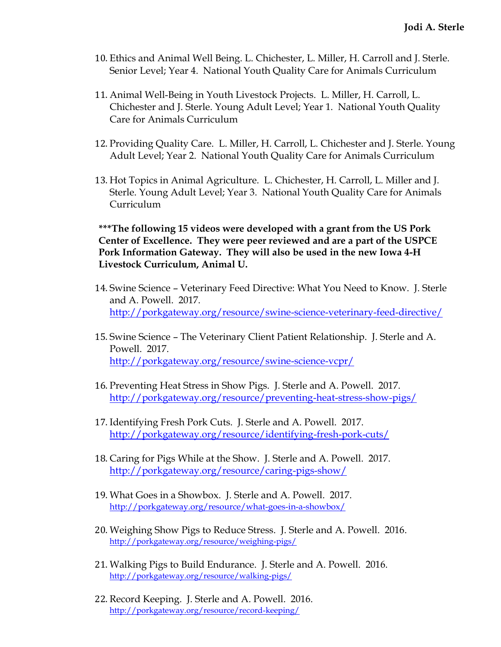- 10. Ethics and Animal Well Being. L. Chichester, L. Miller, H. Carroll and J. Sterle. Senior Level; Year 4. National Youth Quality Care for Animals Curriculum
- 11. Animal Well-Being in Youth Livestock Projects. L. Miller, H. Carroll, L. Chichester and J. Sterle. Young Adult Level; Year 1. National Youth Quality Care for Animals Curriculum
- 12. Providing Quality Care. L. Miller, H. Carroll, L. Chichester and J. Sterle. Young Adult Level; Year 2. National Youth Quality Care for Animals Curriculum
- 13. Hot Topics in Animal Agriculture. L. Chichester, H. Carroll, L. Miller and J. Sterle. Young Adult Level; Year 3. National Youth Quality Care for Animals Curriculum

**\*\*\*The following 15 videos were developed with a grant from the US Pork Center of Excellence. They were peer reviewed and are a part of the USPCE Pork Information Gateway. They will also be used in the new Iowa 4-H Livestock Curriculum, Animal U.**

- 14. Swine Science Veterinary Feed Directive: What You Need to Know. J. Sterle and A. Powell. 2017. <http://porkgateway.org/resource/swine-science-veterinary-feed-directive/>
- 15. Swine Science The Veterinary Client Patient Relationship. J. Sterle and A. Powell. 2017. <http://porkgateway.org/resource/swine-science-vcpr/>
- 16. Preventing Heat Stress in Show Pigs. J. Sterle and A. Powell. 2017. <http://porkgateway.org/resource/preventing-heat-stress-show-pigs/>
- 17. Identifying Fresh Pork Cuts. J. Sterle and A. Powell. 2017. <http://porkgateway.org/resource/identifying-fresh-pork-cuts/>
- 18. Caring for Pigs While at the Show. J. Sterle and A. Powell. 2017. <http://porkgateway.org/resource/caring-pigs-show/>
- 19. What Goes in a Showbox. J. Sterle and A. Powell. 2017. <http://porkgateway.org/resource/what-goes-in-a-showbox/>
- 20. Weighing Show Pigs to Reduce Stress. J. Sterle and A. Powell. 2016. <http://porkgateway.org/resource/weighing-pigs/>
- 21. Walking Pigs to Build Endurance. J. Sterle and A. Powell. 2016. <http://porkgateway.org/resource/walking-pigs/>
- 22. Record Keeping. J. Sterle and A. Powell. 2016. <http://porkgateway.org/resource/record-keeping/>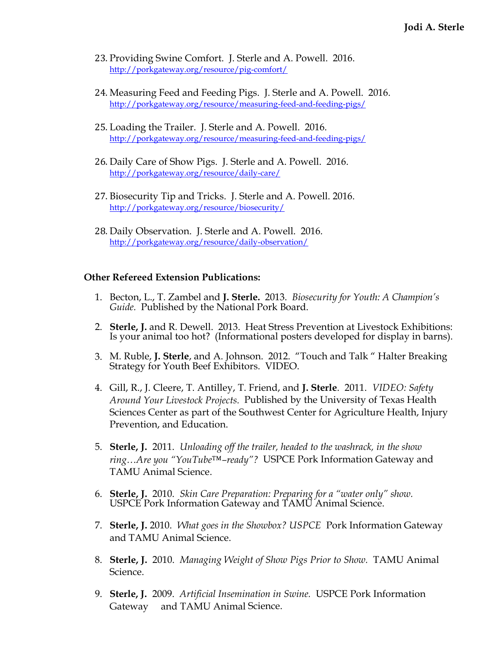- 23. Providing Swine Comfort. J. Sterle and A. Powell. 2016. <http://porkgateway.org/resource/pig-comfort/>
- 24. Measuring Feed and Feeding Pigs. J. Sterle and A. Powell. 2016. <http://porkgateway.org/resource/measuring-feed-and-feeding-pigs/>
- 25. Loading the Trailer. J. Sterle and A. Powell. 2016. <http://porkgateway.org/resource/measuring-feed-and-feeding-pigs/>
- 26. Daily Care of Show Pigs. J. Sterle and A. Powell. 2016. <http://porkgateway.org/resource/daily-care/>
- 27. Biosecurity Tip and Tricks. J. Sterle and A. Powell. 2016. <http://porkgateway.org/resource/biosecurity/>
- 28. Daily Observation. J. Sterle and A. Powell. 2016. <http://porkgateway.org/resource/daily-observation/>

#### **Other Refereed Extension Publications:**

- 1. Becton, L., T. Zambel and **J. Sterle.** 2013. *Biosecurity for Youth: A Champion's Guide.* Published by the National Pork Board.
- 2. **Sterle, J.** and R. Dewell. 2013. Heat Stress Prevention at Livestock Exhibitions: Is your animal too hot? (Informational posters developed for display in barns).
- 3. M. Ruble, **J. Sterle**, and A. Johnson. 2012. "Touch and Talk " Halter Breaking Strategy for Youth Beef Exhibitors. VIDEO.
- 4. Gill, R., J. Cleere, T. Antilley, T. Friend, and **J. Sterle**. 2011. *VIDEO: Safety Around Your Livestock Projects.* Published by the University of Texas Health Sciences Center as part of the Southwest Center for Agriculture Health, Injury Prevention, and Education.
- 5. **Sterle, J.** 2011. *Unloading off the trailer, headed to the washrack, in the show ring…Are you "YouTube™–ready"?* USPCE Pork Information Gateway and TAMU Animal Science.
- 6. **Sterle, J.** 2010. *Skin Care Preparation: Preparing for a "water only" show.*  USPCE Pork Information Gateway and TAMU Animal Science.
- 7. **Sterle, J.** 2010. *What goes in the Showbox? USPCE* Pork Information Gateway and TAMU Animal Science.
- 8. **Sterle, J.** 2010. *Managing Weight of Show Pigs Prior to Show.* TAMU Animal Science.
- 9. **Sterle, J.** 2009. *Artificial Insemination in Swine.* USPCE Pork Information Gateway and TAMU Animal Science.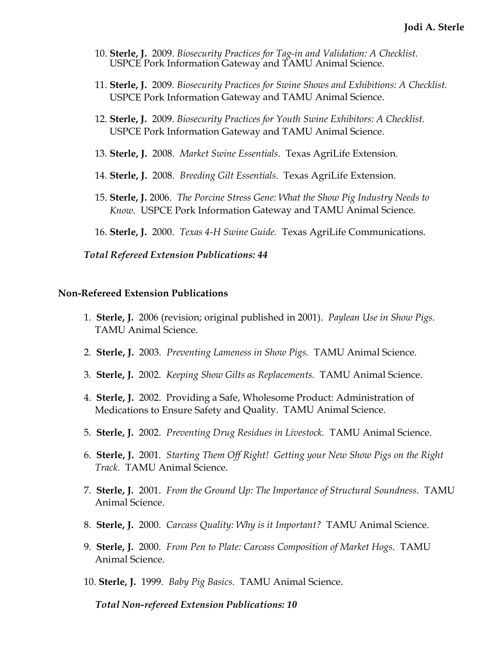- 10. **Sterle, J.** 2009. *Biosecurity Practices for Tag-in and Validation: A Checklist.*  USPCE Pork Information Gateway and TAMU Animal Science.
- 11. **Sterle, J.** 2009. *Biosecurity Practices for Swine Shows and Exhibitions: A Checklist.*  USPCE Pork Information Gateway and TAMU Animal Science.
- 12. **Sterle, J.** 2009. *Biosecurity Practices for Youth Swine Exhibitors: A Checklist.*  USPCE Pork Information Gateway and TAMU Animal Science.
- 13. **Sterle, J.** 2008. *Market Swine Essentials.* Texas AgriLife Extension.
- 14. **Sterle, J.** 2008. *Breeding Gilt Essentials*. Texas AgriLife Extension.
- 15. **Sterle, J.** 2006. *The Porcine Stress Gene: What the Show Pig Industry Needs to Know.* USPCE Pork Information Gateway and TAMU Animal Science.
- 16. **Sterle, J.** 2000. *Texas 4-H Swine Guide.* Texas AgriLife Communications.

#### *Total Refereed Extension Publications: 44*

#### **Non-Refereed Extension Publications**

- 1. **Sterle, J.** 2006 (revision; original published in 2001). *Paylean Use in Show Pigs.*  TAMU Animal Science.
- 2. **Sterle, J.** 2003. *Preventing Lameness in Show Pigs.* TAMU Animal Science.
- 3. **Sterle, J.** 2002. *Keeping Show Gilts as Replacements.* TAMU Animal Science.
- 4. **Sterle, J.** 2002. Providing a Safe, Wholesome Product: Administration of Medications to Ensure Safety and Quality. TAMU Animal Science.
- 5. **Sterle, J.** 2002. *Preventing Drug Residues in Livestock.* TAMU Animal Science.
- 6. **Sterle, J.** 2001*. Starting Them Off Right! Getting your New Show Pigs on the Right Track.* TAMU Animal Science.
- 7. **Sterle, J.** 2001. *From the Ground Up: The Importance of Structural Soundness.* TAMU Animal Science.
- 8. **Sterle, J.** 2000. *Carcass Quality: Why is it Important?* TAMU Animal Science.
- 9. **Sterle, J.** 2000. *From Pen to Plate: Carcass Composition of Market Hogs.* TAMU Animal Science.
- 10. **Sterle, J.** 1999. *Baby Pig Basics.* TAMU Animal Science.

*Total Non-refereed Extension Publications: 10*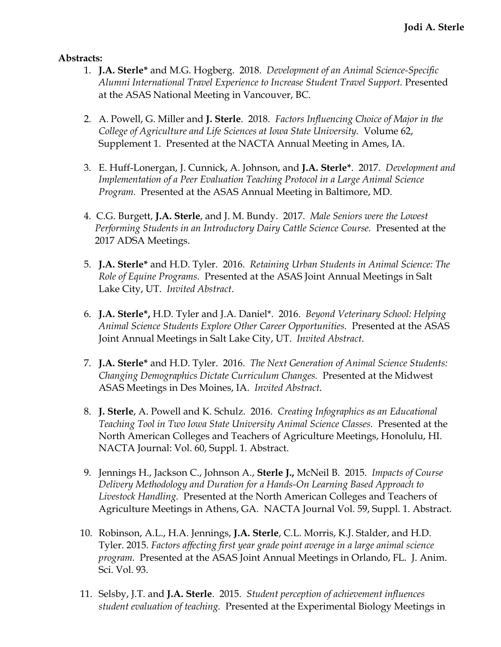#### **Abstracts:**

- 1. **J.A. Sterle\*** and M.G. Hogberg. 2018. *Development of an Animal Science-Specific Alumni International Travel Experience to Increase Student Travel Support.* Presented at the ASAS National Meeting in Vancouver, BC.
- 2. A. Powell, G. Miller and **J. Sterle**. 2018. *Factors Influencing Choice of Major in the College of Agriculture and Life Sciences at Iowa State University.* Volume 62, Supplement 1. Presented at the NACTA Annual Meeting in Ames, IA.
- 3. E. Huff-Lonergan, J. Cunnick, A. Johnson, and **J.A. Sterle\***. 2017. *Development and Implementation of a Peer Evaluation Teaching Protocol in a Large Animal Science Program.* Presented at the ASAS Annual Meeting in Baltimore, MD.
- 4. C.G. Burgett, **J.A. Sterle**, and J. M. Bundy. 2017. *Male Seniors were the Lowest Performing Students in an Introductory Dairy Cattle Science Course.* Presented at the 2017 ADSA Meetings.
- 5. **J.A. Sterle\*** and H.D. Tyler. 2016. *Retaining Urban Students in Animal Science: The Role of Equine Programs.* Presented at the ASAS Joint Annual Meetings in Salt Lake City, UT. *Invited Abstract*.
- 6. **J.A. Sterle\*,** H.D. Tyler and J.A. Daniel\*. 2016. *Beyond Veterinary School: Helping Animal Science Students Explore Other Career Opportunities.* Presented at the ASAS Joint Annual Meetings in Salt Lake City, UT. *Invited Abstract*.
- 7. **J.A. Sterle\*** and H.D. Tyler. 2016. *The Next Generation of Animal Science Students: Changing Demographics Dictate Curriculum Changes.* Presented at the Midwest ASAS Meetings in Des Moines, IA. *Invited Abstract*.
- 8. **J. Sterle**, A. Powell and K. Schulz. 2016. *Creating Infographics as an Educational Teaching Tool in Two Iowa State University Animal Science Classes.* Presented at the North American Colleges and Teachers of Agriculture Meetings, Honolulu, HI. NACTA Journal: Vol. 60, Suppl. 1. Abstract.
- 9. Jennings H., Jackson C., Johnson A., **Sterle J.,** McNeil B. 2015. *Impacts of Course Delivery Methodology and Duration for a Hands-On Learning Based Approach to Livestock Handling.* Presented at the North American Colleges and Teachers of Agriculture Meetings in Athens, GA. NACTA Journal Vol. 59, Suppl. 1. Abstract.
- 10. Robinson, A.L., H.A. Jennings, **J.A. Sterle**, C.L. Morris, K.J. Stalder, and H.D. Tyler. 2015. *Factors affecting first year grade point average in a large animal science program.* Presented at the ASAS Joint Annual Meetings in Orlando, FL. J. Anim. Sci. Vol. 93.
- 11. Selsby, J.T. and **J.A. Sterle**. 2015. *Student perception of achievement influences student evaluation of teaching.* Presented at the Experimental Biology Meetings in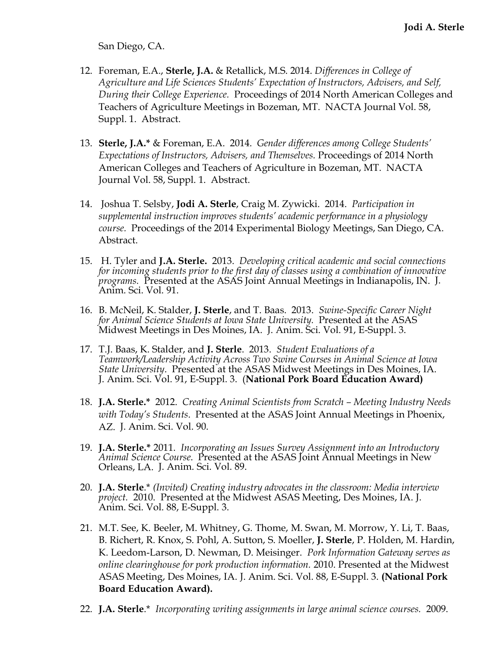San Diego, CA.

- 12. Foreman, E.A., **Sterle, J.A.** & Retallick, M.S. 2014. *Differences in College of Agriculture and Life Sciences Students' Expectation of Instructors, Advisers, and Self, During their College Experience.* Proceedings of 2014 North American Colleges and Teachers of Agriculture Meetings in Bozeman, MT. NACTA Journal Vol. 58, Suppl. 1. Abstract.
- 13. **Sterle, J.A.\*** & Foreman, E.A. 2014. *Gender differences among College Students' Expectations of Instructors, Advisers, and Themselves.* Proceedings of 2014 North American Colleges and Teachers of Agriculture in Bozeman, MT. NACTA Journal Vol. 58, Suppl. 1. Abstract.
- 14. Joshua T. Selsby, **Jodi A. Sterle**, Craig M. Zywicki. 2014. *Participation in supplemental instruction improves students' academic performance in a physiology course.* Proceedings of the 2014 Experimental Biology Meetings, San Diego, CA. Abstract.
- 15. H. Tyler and **J.A. Sterle.** 2013. *Developing critical academic and social connections for incoming students prior to the first day of classes using a combination of innovative programs.* Presented at the ASAS Joint Annual Meetings in Indianapolis, IN. J. Anim. Sci. Vol. 91.
- 16. B. McNeil, K. Stalder, **J. Sterle**, and T. Baas. 2013. *Swine-Specific Career Night for Animal Science Students at Iowa State University.* Presented at the ASAS Midwest Meetings in Des Moines, IA. J. Anim. Sci. Vol. 91, E-Suppl. 3.
- 17. T.J. Baas, K. Stalder, and **J. Sterle**. 2013. *Student Evaluations of a Teamwork/Leadership Activity Across Two Swine Courses in Animal Science at Iowa State University*. Presented at the ASAS Midwest Meetings in Des Moines, IA. J. Anim. Sci. Vol. 91, E-Suppl. 3. (**National Pork Board Education Award)**
- 18. **J.A. Sterle.\*** 2012. *Creating Animal Scientists from Scratch – Meeting Industry Needs with Today's Students*. Presented at the ASAS Joint Annual Meetings in Phoenix, AZ. J. Anim. Sci. Vol. 90.
- 19. **J.A. Sterle.\*** 2011. *Incorporating an Issues Survey Assignment into an Introductory Animal Science Course*. Presented at the ASAS Joint Annual Meetings in New Orleans, LA. J. Anim. Sci. Vol. 89.
- 20. **J.A. Sterle**.\* *(Invited) Creating industry advocates in the classroom: Media interview project.* 2010. Presented at the Midwest ASAS Meeting, Des Moines, IA. J. Anim. Sci. Vol. 88, E-Suppl. 3.
- 21. M.T. See, K. Beeler, M. Whitney, G. Thome, M. Swan, M. Morrow, Y. Li, T. Baas, B. Richert, R. Knox, S. Pohl, A. Sutton, S. Moeller, **J. Sterle**, P. Holden, M. Hardin, K. Leedom-Larson, D. Newman, D. Meisinger. *Pork Information Gateway serves as online clearinghouse for pork production information.* 2010. Presented at the Midwest ASAS Meeting, Des Moines, IA. J. Anim. Sci. Vol. 88, E-Suppl. 3. **(National Pork Board Education Award).**
- 22. **J.A. Sterle**.\* *Incorporating writing assignments in large animal science courses.* 2009.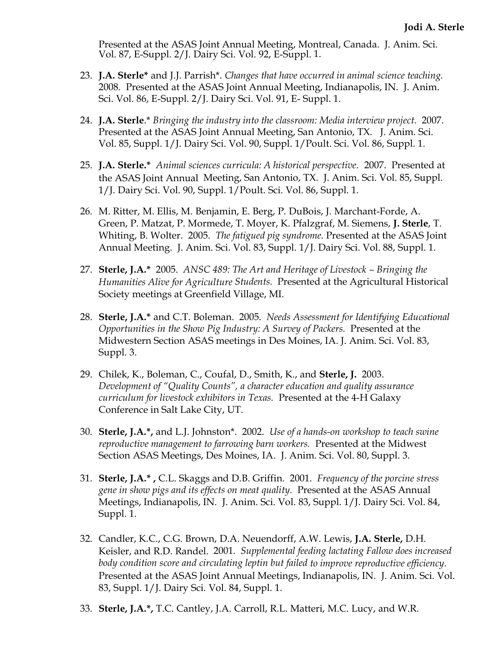- Presented at the ASAS Joint Annual Meeting, Montreal, Canada. J. Anim. Sci. Vol. 87, E-Suppl. 2/J. Dairy Sci. Vol. 92, E-Suppl. 1.

- 23. **J.A. Sterle\*** and J.J. Parrish\*. *Changes that have occurred in animal science teaching.*  2008*.* Presented at the ASAS Joint Annual Meeting, Indianapolis, IN. J. Anim. Sci. Vol. 86, E-Suppl. 2/J. Dairy Sci. Vol. 91, E- Suppl. 1.
- 24. **J.A. Sterle**.\* *Bringing the industry into the classroom: Media interview project.* 2007. Presented at the ASAS Joint Annual Meeting, San Antonio, TX. J. Anim. Sci. Vol. 85, Suppl. 1/J. Dairy Sci. Vol. 90, Suppl. 1/Poult. Sci. Vol. 86, Suppl. 1.
- 25. **J.A. Sterle.\*** *Animal sciences curricula: A historical perspective.* 2007. Presented at the ASAS Joint Annual Meeting, San Antonio, TX. J. Anim. Sci. Vol. 85, Suppl. 1/J. Dairy Sci. Vol. 90, Suppl. 1/Poult. Sci. Vol. 86, Suppl. 1.
- 26. M. Ritter, M. Ellis, M. Benjamin, E. Berg, P. DuBois, J. Marchant-Forde, A. Green, P. Matzat, P. Mormede, T. Moyer, K. Pfalzgraf, M. Siemens, **J. Sterle**, T. Whiting, B. Wolter. 2005. *The fatigued pig syndrome.* Presented at the ASAS Joint Annual Meeting. J. Anim. Sci. Vol. 83, Suppl. 1/J. Dairy Sci. Vol. 88, Suppl. 1.
- 27. **Sterle, J.A.\*** 2005. *ANSC 489: The Art and Heritage of Livestock – Bringing the Humanities Alive for Agriculture Students.* Presented at the Agricultural Historical Society meetings at Greenfield Village, MI.
- 28. **Sterle, J.A.\*** and C.T. Boleman. 2005. *Needs Assessment for Identifying Educational Opportunities in the Show Pig Industry: A Survey of Packers.* Presented at the Midwestern Section ASAS meetings in Des Moines, IA. J. Anim. Sci. Vol. 83, Suppl. 3.
- 29. Chilek, K., Boleman, C., Coufal, D., Smith, K., and **Sterle, J.** 2003. *Development of "Quality Counts", a character education and quality assurance curriculum for livestock exhibitors in Texas.* Presented at the 4-H Galaxy Conference in Salt Lake City, UT.
- 30. **Sterle, J.A.\*,** and L.J. Johnston\*. 2002. *Use of a hands-on workshop to teach swine reproductive management to farrowing barn workers.* Presented at the Midwest Section ASAS Meetings, Des Moines, IA. J. Anim. Sci. Vol. 80, Suppl. 3.
- 31. **Sterle, J.A.\* ,** C.L. Skaggs and D.B. Griffin. 2001. *Frequency of the porcine stress gene in show pigs and its effects on meat quality.* Presented at the ASAS Annual Meetings, Indianapolis, IN. J. Anim. Sci. Vol. 83, Suppl. 1/J. Dairy Sci. Vol. 84, Suppl. 1.
- 32. Candler, K.C., C.G. Brown, D.A. Neuendorff, A.W. Lewis, **J.A. Sterle,** D.H. Keisler, and R.D. Randel. 2001*. Supplemental feeding lactating Fallow does increased body condition score and circulating leptin but failed to improve reproductive efficiency.*  Presented at the ASAS Joint Annual Meetings, Indianapolis, IN. J. Anim. Sci. Vol. 83, Suppl. 1/J. Dairy Sci. Vol. 84, Suppl. 1.
- 33. **Sterle, J.A.\*,** T.C. Cantley, J.A. Carroll, R.L. Matteri, M.C. Lucy, and W.R.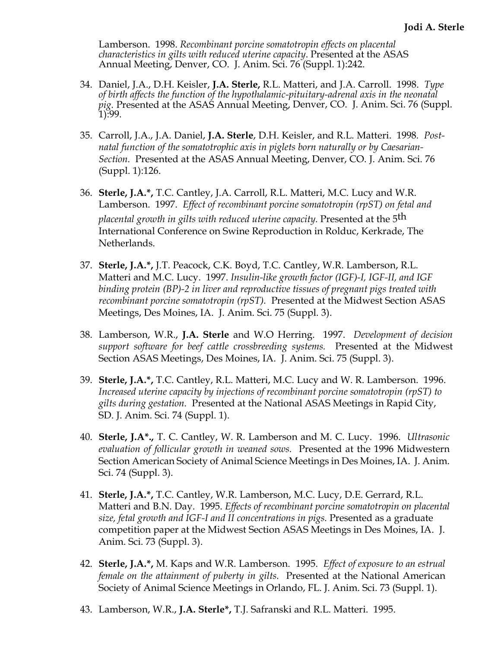Lamberson. 1998. *Recombinant porcine somatotropin effects on placental characteristics in gilts with reduced uterine capacity*. Presented at the ASAS Annual Meeting, Denver, CO. J. Anim. Sci. 76 (Suppl. 1):242.

- 34. Daniel, J.A., D.H. Keisler, **J.A. Sterle,** R.L. Matteri, and J.A. Carroll. 1998. *Type of birth affects the function of the hypothalamic-pituitary-adrenal axis in the neonatal pig.* Presented at the ASAS Annual Meeting, Denver, CO. J. Anim. Sci. 76 (Suppl. 1):99.
- 35. Carroll, J.A., J.A. Daniel, **J.A. Sterle**, D.H. Keisler, and R.L. Matteri. 1998*. Postnatal function of the somatotrophic axis in piglets born naturally or by Caesarian-Section.* Presented at the ASAS Annual Meeting, Denver, CO. J. Anim. Sci. 76 (Suppl. 1):126.
- 36. **Sterle, J.A.\*,** T.C. Cantley, J.A. Carroll, R.L. Matteri, M.C. Lucy and W.R. Lamberson. 1997. *Effect of recombinant porcine somatotropin (rpST) on fetal and placental growth in gilts with reduced uterine capacity.* Presented at the 5 th International Conference on Swine Reproduction in Rolduc, Kerkrade, The Netherlands.
- 37. **Sterle, J.A.\*,** J.T. Peacock, C.K. Boyd, T.C. Cantley, W.R. Lamberson, R.L. Matteri and M.C. Lucy. 1997. *Insulin-like growth factor (IGF)-I, IGF-II, and IGF binding protein (BP)-2 in liver and reproductive tissues of pregnant pigs treated with recombinant porcine somatotropin (rpST).* Presented at the Midwest Section ASAS Meetings, Des Moines, IA. J. Anim. Sci. 75 (Suppl. 3).
- 38. Lamberson, W.R., **J.A. Sterle** and W.O Herring. 1997. *Development of decision support software for beef cattle crossbreeding systems.* Presented at the Midwest Section ASAS Meetings, Des Moines, IA. J. Anim. Sci. 75 (Suppl. 3).
- 39. **Sterle, J.A.\*,** T.C. Cantley, R.L. Matteri, M.C. Lucy and W. R. Lamberson. 1996. *Increased uterine capacity by injections of recombinant porcine somatotropin (rpST) to gilts during gestation.* Presented at the National ASAS Meetings in Rapid City, SD. J. Anim. Sci. 74 (Suppl. 1).
- 40. **Sterle, J.A\*.,** T. C. Cantley, W. R. Lamberson and M. C. Lucy. 1996. *Ultrasonic evaluation of follicular growth in weaned sows.* Presented at the 1996 Midwestern Section American Society of Animal Science Meetings in Des Moines, IA. J. Anim. Sci. 74 (Suppl. 3).
- 41. **Sterle, J.A.\*,** T.C. Cantley, W.R. Lamberson, M.C. Lucy, D.E. Gerrard, R.L. Matteri and B.N. Day. 1995. *Effects of recombinant porcine somatotropin on placental size, fetal growth and IGF-I and II concentrations in pigs.* Presented as a graduate competition paper at the Midwest Section ASAS Meetings in Des Moines, IA. J. Anim. Sci. 73 (Suppl. 3).
- 42. **Sterle, J.A.\*,** M. Kaps and W.R. Lamberson. 1995. *Effect of exposure to an estrual female on the attainment of puberty in gilts.* Presented at the National American Society of Animal Science Meetings in Orlando, FL. J. Anim. Sci. 73 (Suppl. 1).
- 43. Lamberson, W.R., **J.A. Sterle\*,** T.J. Safranski and R.L. Matteri. 1995.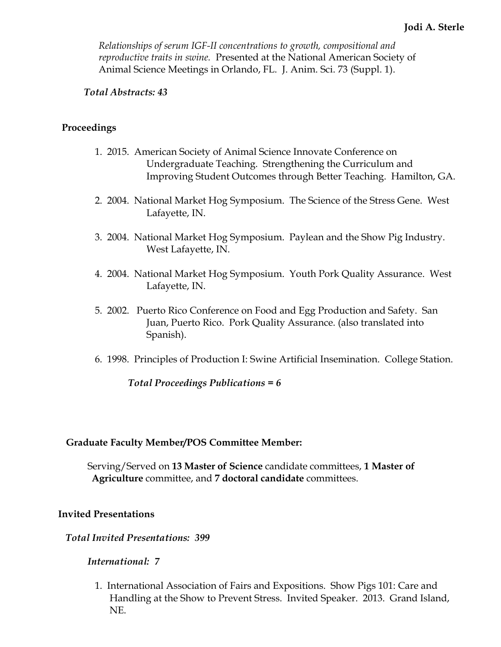*Relationships of serum IGF-II concentrations to growth, compositional and reproductive traits in swine.* Presented at the National American Society of Animal Science Meetings in Orlando, FL. J. Anim. Sci. 73 (Suppl. 1).

## *Total Abstracts: 43*

## **Proceedings**

- 1. 2015. American Society of Animal Science Innovate Conference on Undergraduate Teaching. Strengthening the Curriculum and Improving Student Outcomes through Better Teaching. Hamilton, GA.
- 2. 2004. National Market Hog Symposium. The Science of the Stress Gene. West Lafayette, IN.
- 3. 2004. National Market Hog Symposium. Paylean and the Show Pig Industry. West Lafayette, IN.
- 4. 2004. National Market Hog Symposium. Youth Pork Quality Assurance. West Lafayette, IN.
- 5. 2002. Puerto Rico Conference on Food and Egg Production and Safety. San Juan, Puerto Rico. Pork Quality Assurance. (also translated into Spanish).
- 6. 1998. Principles of Production I: Swine Artificial Insemination. College Station.

*Total Proceedings Publications = 6*

## **Graduate Faculty Member/POS Committee Member:**

Serving/Served on **13 Master of Science** candidate committees, **1 Master of Agriculture** committee, and **7 doctoral candidate** committees.

## **Invited Presentations**

 *Total Invited Presentations: 399*

#### *International: 7*

1. International Association of Fairs and Expositions. Show Pigs 101: Care and Handling at the Show to Prevent Stress. Invited Speaker. 2013. Grand Island, NE.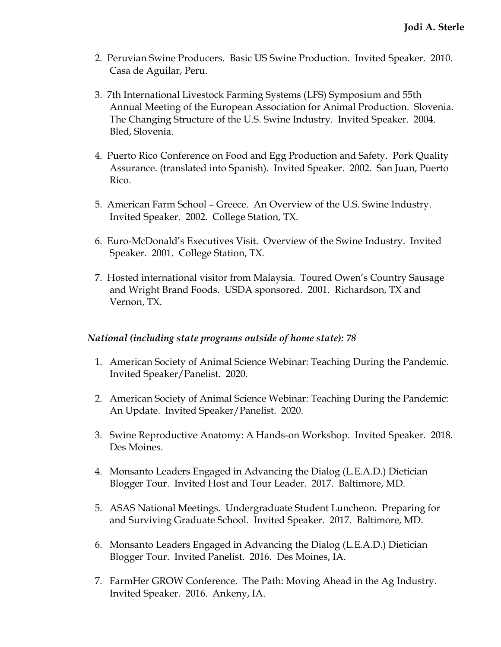- 2. Peruvian Swine Producers. Basic US Swine Production. Invited Speaker. 2010. Casa de Aguilar, Peru.
- 3. 7th International Livestock Farming Systems (LFS) Symposium and 55th Annual Meeting of the European Association for Animal Production. Slovenia. The Changing Structure of the U.S. Swine Industry. Invited Speaker. 2004. Bled, Slovenia.
- 4. Puerto Rico Conference on Food and Egg Production and Safety. Pork Quality Assurance. (translated into Spanish). Invited Speaker. 2002. San Juan, Puerto Rico.
- 5. American Farm School Greece. An Overview of the U.S. Swine Industry. Invited Speaker. 2002. College Station, TX.
- 6. Euro-McDonald's Executives Visit. Overview of the Swine Industry. Invited Speaker. 2001. College Station, TX.
- 7. Hosted international visitor from Malaysia. Toured Owen's Country Sausage and Wright Brand Foods. USDA sponsored. 2001. Richardson, TX and Vernon, TX.

## *National (including state programs outside of home state): 78*

- 1. American Society of Animal Science Webinar: Teaching During the Pandemic. Invited Speaker/Panelist. 2020.
- 2. American Society of Animal Science Webinar: Teaching During the Pandemic: An Update. Invited Speaker/Panelist. 2020.
- 3. Swine Reproductive Anatomy: A Hands-on Workshop. Invited Speaker. 2018. Des Moines.
- 4. Monsanto Leaders Engaged in Advancing the Dialog (L.E.A.D.) Dietician Blogger Tour. Invited Host and Tour Leader. 2017. Baltimore, MD.
- 5. ASAS National Meetings. Undergraduate Student Luncheon. Preparing for and Surviving Graduate School. Invited Speaker. 2017. Baltimore, MD.
- 6. Monsanto Leaders Engaged in Advancing the Dialog (L.E.A.D.) Dietician Blogger Tour. Invited Panelist. 2016. Des Moines, IA.
- 7. FarmHer GROW Conference. The Path: Moving Ahead in the Ag Industry. Invited Speaker. 2016. Ankeny, IA.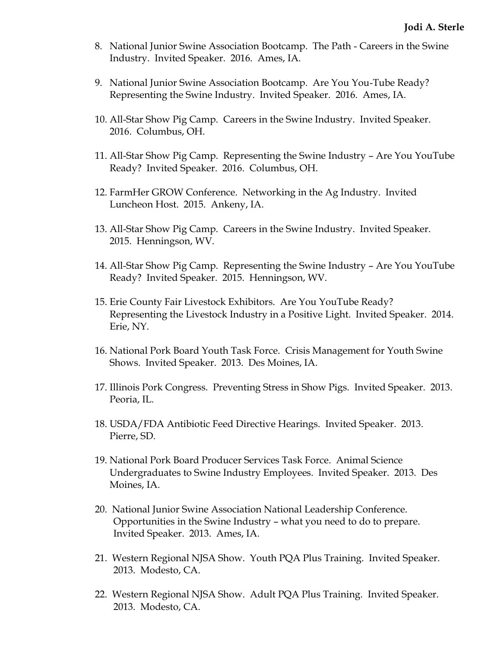- 8. National Junior Swine Association Bootcamp. The Path Careers in the Swine Industry. Invited Speaker. 2016. Ames, IA.
- 9. National Junior Swine Association Bootcamp. Are You You-Tube Ready? Representing the Swine Industry. Invited Speaker. 2016. Ames, IA.
- 10. All-Star Show Pig Camp. Careers in the Swine Industry. Invited Speaker. 2016. Columbus, OH.
- 11. All-Star Show Pig Camp. Representing the Swine Industry Are You YouTube Ready? Invited Speaker. 2016. Columbus, OH.
- 12. FarmHer GROW Conference. Networking in the Ag Industry. Invited Luncheon Host. 2015. Ankeny, IA.
- 13. All-Star Show Pig Camp. Careers in the Swine Industry. Invited Speaker. 2015. Henningson, WV.
- 14. All-Star Show Pig Camp. Representing the Swine Industry Are You YouTube Ready? Invited Speaker. 2015. Henningson, WV.
- 15. Erie County Fair Livestock Exhibitors. Are You YouTube Ready? Representing the Livestock Industry in a Positive Light. Invited Speaker. 2014. Erie, NY.
- 16. National Pork Board Youth Task Force. Crisis Management for Youth Swine Shows. Invited Speaker. 2013. Des Moines, IA.
- 17. Illinois Pork Congress. Preventing Stress in Show Pigs. Invited Speaker. 2013. Peoria, IL.
- 18. USDA/FDA Antibiotic Feed Directive Hearings. Invited Speaker. 2013. Pierre, SD.
- 19. National Pork Board Producer Services Task Force. Animal Science Undergraduates to Swine Industry Employees. Invited Speaker. 2013. Des Moines, IA.
- 20. National Junior Swine Association National Leadership Conference. Opportunities in the Swine Industry – what you need to do to prepare. Invited Speaker. 2013. Ames, IA.
- 21. Western Regional NJSA Show. Youth PQA Plus Training. Invited Speaker. 2013. Modesto, CA.
- 22. Western Regional NJSA Show. Adult PQA Plus Training. Invited Speaker. 2013. Modesto, CA.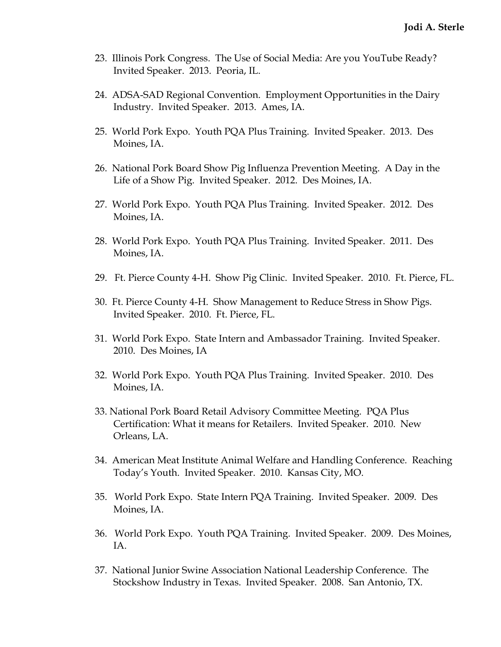- 23. Illinois Pork Congress. The Use of Social Media: Are you YouTube Ready? Invited Speaker. 2013. Peoria, IL.
- 24. ADSA-SAD Regional Convention. Employment Opportunities in the Dairy Industry. Invited Speaker. 2013. Ames, IA.
- 25. World Pork Expo. Youth PQA Plus Training. Invited Speaker. 2013. Des Moines, IA.
- 26. National Pork Board Show Pig Influenza Prevention Meeting. A Day in the Life of a Show Pig. Invited Speaker. 2012. Des Moines, IA.
- 27. World Pork Expo. Youth PQA Plus Training. Invited Speaker. 2012. Des Moines, IA.
- 28. World Pork Expo. Youth PQA Plus Training. Invited Speaker. 2011. Des Moines, IA.
- 29. Ft. Pierce County 4-H. Show Pig Clinic. Invited Speaker. 2010. Ft. Pierce, FL.
- 30. Ft. Pierce County 4-H. Show Management to Reduce Stress in Show Pigs. Invited Speaker. 2010. Ft. Pierce, FL.
- 31. World Pork Expo. State Intern and Ambassador Training. Invited Speaker. 2010. Des Moines, IA
- 32. World Pork Expo. Youth PQA Plus Training. Invited Speaker. 2010. Des Moines, IA.
- 33. National Pork Board Retail Advisory Committee Meeting. PQA Plus Certification: What it means for Retailers. Invited Speaker. 2010. New Orleans, LA.
- 34. American Meat Institute Animal Welfare and Handling Conference. Reaching Today's Youth. Invited Speaker. 2010. Kansas City, MO.
- 35. World Pork Expo. State Intern PQA Training. Invited Speaker. 2009. Des Moines, IA.
- 36. World Pork Expo. Youth PQA Training. Invited Speaker. 2009. Des Moines, IA.
- 37. National Junior Swine Association National Leadership Conference. The Stockshow Industry in Texas. Invited Speaker. 2008. San Antonio, TX.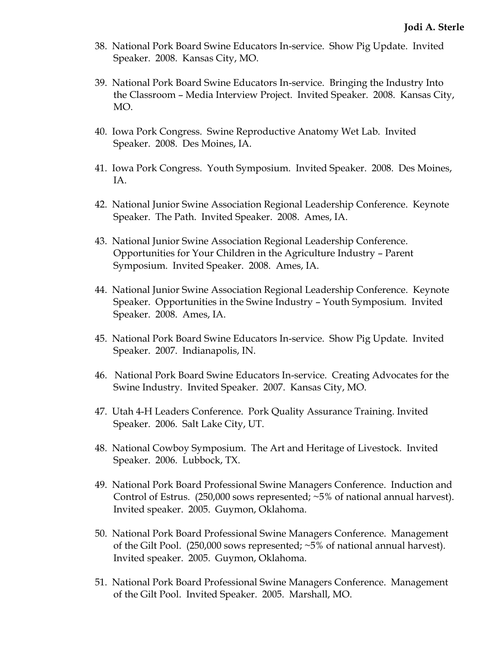- 38. National Pork Board Swine Educators In-service. Show Pig Update. Invited Speaker. 2008. Kansas City, MO.
- 39. National Pork Board Swine Educators In-service. Bringing the Industry Into the Classroom – Media Interview Project. Invited Speaker. 2008. Kansas City, MO.
- 40. Iowa Pork Congress. Swine Reproductive Anatomy Wet Lab. Invited Speaker. 2008. Des Moines, IA.
- 41. Iowa Pork Congress. Youth Symposium. Invited Speaker. 2008. Des Moines, IA.
- 42. National Junior Swine Association Regional Leadership Conference. Keynote Speaker. The Path. Invited Speaker. 2008. Ames, IA.
- 43. National Junior Swine Association Regional Leadership Conference. Opportunities for Your Children in the Agriculture Industry – Parent Symposium. Invited Speaker. 2008. Ames, IA.
- 44. National Junior Swine Association Regional Leadership Conference. Keynote Speaker. Opportunities in the Swine Industry – Youth Symposium. Invited Speaker. 2008. Ames, IA.
- 45. National Pork Board Swine Educators In-service. Show Pig Update. Invited Speaker. 2007. Indianapolis, IN.
- 46. National Pork Board Swine Educators In-service. Creating Advocates for the Swine Industry. Invited Speaker. 2007. Kansas City, MO.
- 47. Utah 4-H Leaders Conference. Pork Quality Assurance Training. Invited Speaker. 2006. Salt Lake City, UT.
- 48. National Cowboy Symposium. The Art and Heritage of Livestock. Invited Speaker. 2006. Lubbock, TX.
- 49. National Pork Board Professional Swine Managers Conference. Induction and Control of Estrus. (250,000 sows represented; ~5% of national annual harvest). Invited speaker. 2005. Guymon, Oklahoma.
- 50. National Pork Board Professional Swine Managers Conference. Management of the Gilt Pool. (250,000 sows represented; ~5% of national annual harvest). Invited speaker. 2005. Guymon, Oklahoma.
- 51. National Pork Board Professional Swine Managers Conference. Management of the Gilt Pool. Invited Speaker. 2005. Marshall, MO.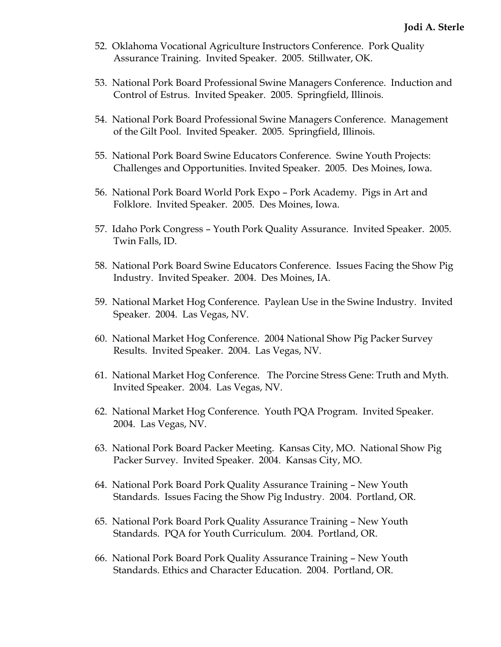- 52. Oklahoma Vocational Agriculture Instructors Conference. Pork Quality Assurance Training. Invited Speaker. 2005. Stillwater, OK.
- 53. National Pork Board Professional Swine Managers Conference. Induction and Control of Estrus. Invited Speaker. 2005. Springfield, Illinois.
- 54. National Pork Board Professional Swine Managers Conference. Management of the Gilt Pool. Invited Speaker. 2005. Springfield, Illinois.
- 55. National Pork Board Swine Educators Conference. Swine Youth Projects: Challenges and Opportunities. Invited Speaker. 2005. Des Moines, Iowa.
- 56. National Pork Board World Pork Expo Pork Academy. Pigs in Art and Folklore. Invited Speaker. 2005. Des Moines, Iowa.
- 57. Idaho Pork Congress Youth Pork Quality Assurance. Invited Speaker. 2005. Twin Falls, ID.
- 58. National Pork Board Swine Educators Conference. Issues Facing the Show Pig Industry. Invited Speaker. 2004. Des Moines, IA.
- 59. National Market Hog Conference. Paylean Use in the Swine Industry. Invited Speaker. 2004. Las Vegas, NV.
- 60. National Market Hog Conference. 2004 National Show Pig Packer Survey Results. Invited Speaker. 2004. Las Vegas, NV.
- 61. National Market Hog Conference. The Porcine Stress Gene: Truth and Myth. Invited Speaker. 2004. Las Vegas, NV.
- 62. National Market Hog Conference. Youth PQA Program. Invited Speaker. 2004. Las Vegas, NV.
- 63. National Pork Board Packer Meeting. Kansas City, MO. National Show Pig Packer Survey. Invited Speaker. 2004. Kansas City, MO.
- 64. National Pork Board Pork Quality Assurance Training New Youth Standards. Issues Facing the Show Pig Industry*.* 2004. Portland, OR.
- 65. National Pork Board Pork Quality Assurance Training New Youth Standards. PQA for Youth Curriculum. 2004. Portland, OR.
- 66. National Pork Board Pork Quality Assurance Training New Youth Standards. Ethics and Character Education. 2004. Portland, OR.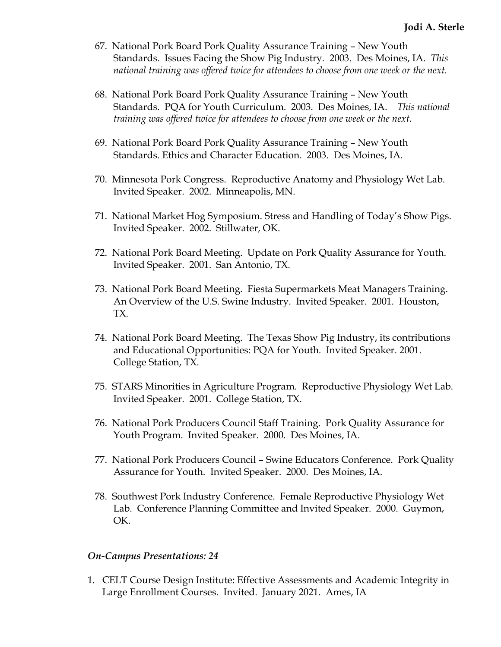- 67. National Pork Board Pork Quality Assurance Training New Youth Standards. Issues Facing the Show Pig Industry*.* 2003. Des Moines, IA. *This national training was offered twice for attendees to choose from one week or the next.*
- 68. National Pork Board Pork Quality Assurance Training New Youth Standards. PQA for Youth Curriculum. 2003. Des Moines, IA. *This national training was offered twice for attendees to choose from one week or the next.*
- 69. National Pork Board Pork Quality Assurance Training New Youth Standards. Ethics and Character Education. 2003. Des Moines, IA*.*
- 70. Minnesota Pork Congress. Reproductive Anatomy and Physiology Wet Lab. Invited Speaker. 2002. Minneapolis, MN.
- 71. National Market Hog Symposium. Stress and Handling of Today's Show Pigs. Invited Speaker. 2002. Stillwater, OK.
- 72. National Pork Board Meeting. Update on Pork Quality Assurance for Youth. Invited Speaker. 2001. San Antonio, TX.
- 73. National Pork Board Meeting. Fiesta Supermarkets Meat Managers Training. An Overview of the U.S. Swine Industry. Invited Speaker. 2001. Houston, TX.
- 74. National Pork Board Meeting. The Texas Show Pig Industry, its contributions and Educational Opportunities: PQA for Youth. Invited Speaker. 2001. College Station, TX.
- 75. STARS Minorities in Agriculture Program. Reproductive Physiology Wet Lab. Invited Speaker. 2001. College Station, TX.
- 76. National Pork Producers Council Staff Training. Pork Quality Assurance for Youth Program. Invited Speaker. 2000. Des Moines, IA.
- 77. National Pork Producers Council Swine Educators Conference. Pork Quality Assurance for Youth. Invited Speaker. 2000. Des Moines, IA.
- 78. Southwest Pork Industry Conference. Female Reproductive Physiology Wet Lab. Conference Planning Committee and Invited Speaker. 2000. Guymon, OK.

## *On-Campus Presentations: 24*

1. CELT Course Design Institute: Effective Assessments and Academic Integrity in Large Enrollment Courses. Invited. January 2021. Ames, IA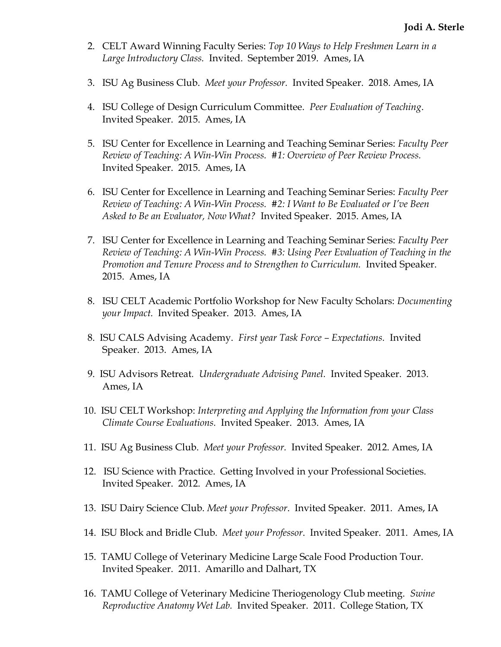- 2. CELT Award Winning Faculty Series: *Top 10 Ways to Help Freshmen Learn in a Large Introductory Class.* Invited. September 2019. Ames, IA
- 3. ISU Ag Business Club. *Meet your Professor.* Invited Speaker. 2018. Ames, IA
- 4. ISU College of Design Curriculum Committee. *Peer Evaluation of Teaching*. Invited Speaker. 2015. Ames, IA
- 5. ISU Center for Excellence in Learning and Teaching Seminar Series: *Faculty Peer Review of Teaching: A Win-Win Process. #1: Overview of Peer Review Process.* Invited Speaker. 2015. Ames, IA
- 6. ISU Center for Excellence in Learning and Teaching Seminar Series: *Faculty Peer Review of Teaching: A Win-Win Process.* #2: *I Want to Be Evaluated or I've Been Asked to Be an Evaluator, Now What?* Invited Speaker. 2015. Ames, IA
- 7. ISU Center for Excellence in Learning and Teaching Seminar Series: *Faculty Peer Review of Teaching: A Win-Win Process. #3: Using Peer Evaluation of Teaching in the*  Promotion and Tenure Process and to Strengthen to Curriculum. Invited Speaker. 2015. Ames, IA
- 8. ISU CELT Academic Portfolio Workshop for New Faculty Scholars: *Documenting your Impact.* Invited Speaker. 2013. Ames, IA
- 8. ISU CALS Advising Academy. *First year Task Force – Expectations.* Invited Speaker. 2013. Ames, IA
- 9. ISU Advisors Retreat*. Undergraduate Advising Panel.* Invited Speaker. 2013. Ames, IA
- 10. ISU CELT Workshop: *Interpreting and Applying the Information from your Class Climate Course Evaluations.* Invited Speaker. 2013. Ames, IA
- 11. ISU Ag Business Club. *Meet your Professor.* Invited Speaker. 2012. Ames, IA
- 12. ISU Science with Practice. Getting Involved in your Professional Societies. Invited Speaker. 2012. Ames, IA
- 13. ISU Dairy Science Club. *Meet your Professor*. Invited Speaker. 2011. Ames, IA
- 14. ISU Block and Bridle Club. *Meet your Professor*. Invited Speaker. 2011. Ames, IA
- 15. TAMU College of Veterinary Medicine Large Scale Food Production Tour. Invited Speaker. 2011. Amarillo and Dalhart, TX
- 16. TAMU College of Veterinary Medicine Theriogenology Club meeting. *Swine Reproductive Anatomy Wet Lab.* Invited Speaker. 2011. College Station, TX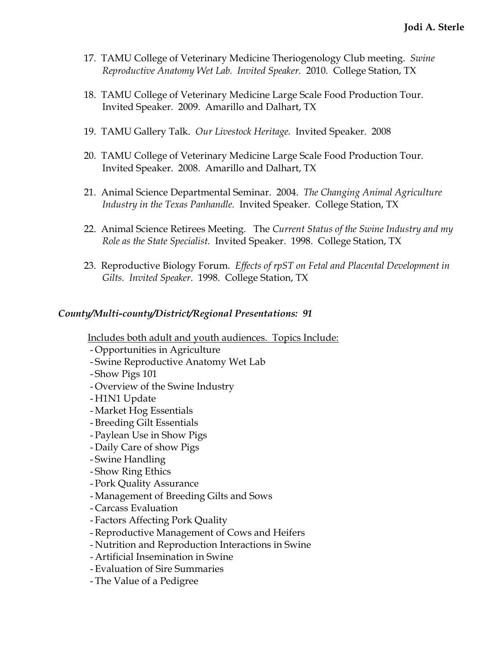- 17. TAMU College of Veterinary Medicine Theriogenology Club meeting. *Swine Reproductive Anatomy Wet Lab. Invited Speaker.* 2010. College Station, TX
- 18. TAMU College of Veterinary Medicine Large Scale Food Production Tour. Invited Speaker. 2009. Amarillo and Dalhart, TX
- 19. TAMU Gallery Talk. *Our Livestock Heritage.* Invited Speaker. 2008
- 20. TAMU College of Veterinary Medicine Large Scale Food Production Tour. Invited Speaker. 2008. Amarillo and Dalhart, TX
- 21. Animal Science Departmental Seminar. 2004. *The Changing Animal Agriculture Industry in the Texas Panhandle.* Invited Speaker. College Station, TX
- 22. Animal Science Retirees Meeting. The *Current Status of the Swine Industry and my Role as the State Specialist.* Invited Speaker. 1998. College Station, TX
- 23. Reproductive Biology Forum. *Effects of rpST on Fetal and Placental Development in Gilts. Invited Speaker*. 1998. College Station, TX

## *County/Multi-county/District/Regional Presentations: 91*

Includes both adult and youth audiences. Topics Include:

- Opportunities in Agriculture
- Swine Reproductive Anatomy Wet Lab
- Show Pigs 101
- Overview of the Swine Industry
- H1N1 Update
- Market Hog Essentials
- Breeding Gilt Essentials
- Paylean Use in Show Pigs
- Daily Care of show Pigs
- Swine Handling
- Show Ring Ethics
- Pork Quality Assurance
- Management of Breeding Gilts and Sows
- Carcass Evaluation
- Factors Affecting Pork Quality
- -Reproductive Management of Cows and Heifers
- Nutrition and Reproduction Interactions in Swine
- Artificial Insemination in Swine
- Evaluation of Sire Summaries
- The Value of a Pedigree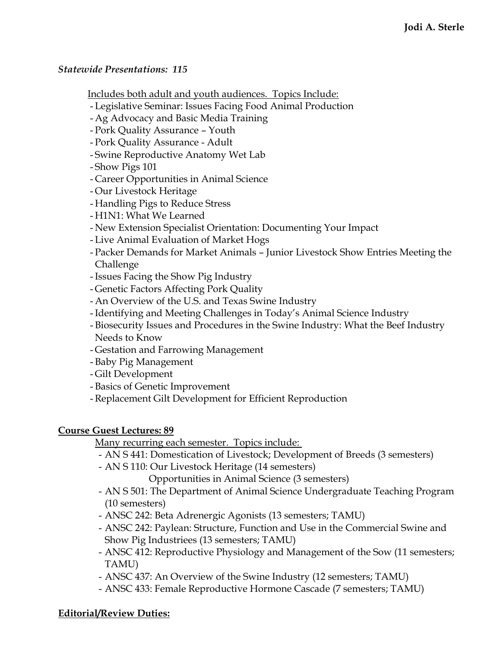## *Statewide Presentations: 115*

## Includes both adult and youth audiences. Topics Include:

- Legislative Seminar: Issues Facing Food Animal Production
- Ag Advocacy and Basic Media Training
- Pork Quality Assurance Youth
- Pork Quality Assurance Adult
- Swine Reproductive Anatomy Wet Lab
- Show Pigs 101
- Career Opportunities in Animal Science
- Our Livestock Heritage
- Handling Pigs to Reduce Stress
- H1N1: What We Learned
- New Extension Specialist Orientation: Documenting Your Impact
- Live Animal Evaluation of Market Hogs
- Packer Demands for Market Animals Junior Livestock Show Entries Meeting the Challenge
- -Issues Facing the Show Pig Industry
- Genetic Factors Affecting Pork Quality
- An Overview of the U.S. and Texas Swine Industry
- -Identifying and Meeting Challenges in Today's Animal Science Industry
- Biosecurity Issues and Procedures in the Swine Industry: What the Beef Industry Needs to Know
- Gestation and Farrowing Management
- Baby Pig Management
- Gilt Development
- Basics of Genetic Improvement
- -Replacement Gilt Development for Efficient Reproduction

## **Course Guest Lectures: 89**

## Many recurring each semester. Topics include:

- AN S 441: Domestication of Livestock; Development of Breeds (3 semesters)
- AN S 110: Our Livestock Heritage (14 semesters)

Opportunities in Animal Science (3 semesters)

- AN S 501: The Department of Animal Science Undergraduate Teaching Program (10 semesters)
- ANSC 242: Beta Adrenergic Agonists (13 semesters; TAMU)
- ANSC 242: Paylean: Structure, Function and Use in the Commercial Swine and Show Pig Industriees (13 semesters; TAMU)
- ANSC 412: Reproductive Physiology and Management of the Sow (11 semesters; TAMU)
- ANSC 437: An Overview of the Swine Industry (12 semesters; TAMU)
- ANSC 433: Female Reproductive Hormone Cascade (7 semesters; TAMU)

# **Editorial/Review Duties:**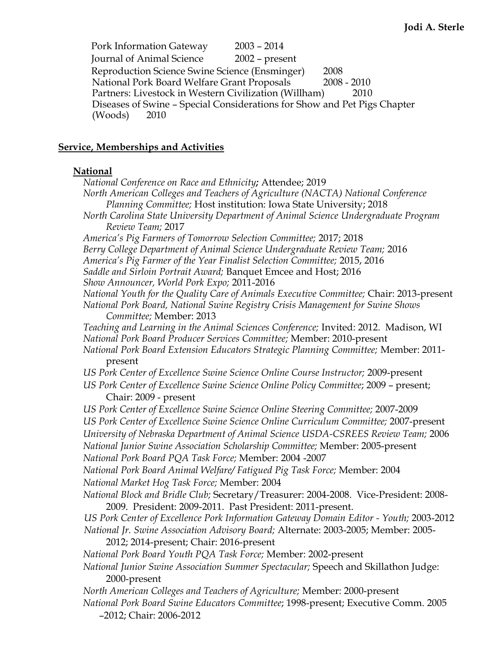Pork Information Gateway 2003 – 2014 Journal of Animal Science 2002 – present Reproduction Science Swine Science (Ensminger) 2008 National Pork Board Welfare Grant Proposals 2008 - 2010 Partners: Livestock in Western Civilization (Willham) 2010 Diseases of Swine – Special Considerations for Show and Pet Pigs Chapter (Woods) 2010

## **Service, Memberships and Activities**

#### **National**

*National Conference on Race and Ethnicity;* Attendee; 2019 *North American Colleges and Teachers of Agriculture (NACTA) National Conference Planning Committee;* Host institution: Iowa State University; 2018 *North Carolina State University Department of Animal Science Undergraduate Program Review Team;* 2017 *America's Pig Farmers of Tomorrow Selection Committee;* 2017; 2018 *Berry College Department of Animal Science Undergraduate Review Team;* 2016 *America's Pig Farmer of the Year Finalist Selection Committee;* 2015, 2016 *Saddle and Sirloin Portrait Award;* Banquet Emcee and Host; 2016 *Show Announcer, World Pork Expo;* 2011-2016 *National Youth for the Quality Care of Animals Executive Committee;* Chair: 2013-present *National Pork Board, National Swine Registry Crisis Management for Swine Shows Committee;* Member: 2013 *Teaching and Learning in the Animal Sciences Conference;* Invited: 2012. Madison, WI *National Pork Board Producer Services Committee;* Member: 2010-present *National Pork Board Extension Educators Strategic Planning Committee;* Member: 2011 present *US Pork Center of Excellence Swine Science Online Course Instructor;* 2009-present *US Pork Center of Excellence Swine Science Online Policy Committee*; 2009 – present; Chair: 2009 - present *US Pork Center of Excellence Swine Science Online Steering Committee;* 2007-2009 *US Pork Center of Excellence Swine Science Online Curriculum Committee;* 2007-present *University of Nebraska Department of Animal Science USDA-CSREES Review Team;* 2006 *National Junior Swine Association Scholarship Committee;* Member: 2005-present *National Pork Board PQA Task Force;* Member: 2004 -2007 *National Pork Board Animal Welfare/ Fatigued Pig Task Force;* Member: 2004 *National Market Hog Task Force;* Member: 2004 *National Block and Bridle Club;* Secretary/Treasurer: 2004-2008. Vice-President: 2008- 2009. President: 2009-2011. Past President: 2011-present. *US Pork Center of Excellence Pork Information Gateway Domain Editor - Youth;* 2003-2012 *National Jr. Swine Association Advisory Board;* Alternate: 2003-2005; Member: 2005- 2012; 2014-present; Chair: 2016-present *National Pork Board Youth PQA Task Force;* Member: 2002-present *National Junior Swine Association Summer Spectacular;* Speech and Skillathon Judge: 2000-present *North American Colleges and Teachers of Agriculture;* Member: 2000-present *National Pork Board Swine Educators Committee*; 1998-present; Executive Comm. 2005 –2012; Chair: 2006-2012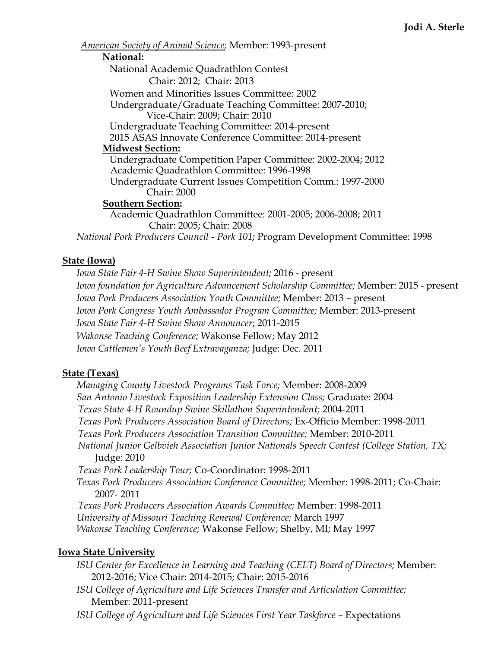*American Society of Animal Science;* Member: 1993-present

#### **National:**

National Academic Quadrathlon Contest Chair: 2012; Chair: 2013 Women and Minorities Issues Committee: 2002 Undergraduate/Graduate Teaching Committee: 2007-2010; Vice-Chair: 2009; Chair: 2010 Undergraduate Teaching Committee: 2014-present 2015 ASAS Innovate Conference Committee: 2014-present **Midwest Section:** Undergraduate Competition Paper Committee: 2002-2004; 2012 Academic Quadrathlon Committee: 1996-1998 Undergraduate Current Issues Competition Comm.: 1997-2000 Chair: 2000 **Southern Section:** Academic Quadrathlon Committee: 2001-2005; 2006-2008; 2011 Chair: 2005; Chair: 2008 *National Pork Producers Council - Pork 101;* Program Development Committee: 1998

## **State (Iowa)**

*Iowa State Fair 4-H Swine Show Superintendent;* 2016 - present *Iowa foundation for Agriculture Advancement Scholarship Committee;* Member: 2015 - present *Iowa Pork Producers Association Youth Committee;* Member: 2013 – present *Iowa Pork Congress Youth Ambassador Program Committee;* Member: 2013-present *Iowa State Fair 4-H Swine Show Announcer*; 2011-2015 *Wakonse Teaching Conference;* Wakonse Fellow; May 2012 *Iowa Cattlemen's Youth Beef Extravaganza;* Judge: Dec. 2011

## **State (Texas)**

*Managing County Livestock Programs Task Force;* Member: 2008-2009 *San Antonio Livestock Exposition Leadership Extension Class;* Graduate: 2004 *Texas State 4-H Roundup Swine Skillathon Superintendent;* 2004-2011 *Texas Pork Producers Association Board of Directors;* Ex-Officio Member: 1998-2011 *Texas Pork Producers Association Transition Committee;* Member: 2010-2011 *National Junior Gelbvieh Association Junior Nationals Speech Contest (College Station, TX;* Judge: 2010 *Texas Pork Leadership Tour;* Co-Coordinator: 1998-2011 *Texas Pork Producers Association Conference Committee;* Member: 1998-2011; Co-Chair: 2007- 2011 *Texas Pork Producers Association Awards Committee;* Member: 1998-2011 *University of Missouri Teaching Renewal Conference;* March 1997 *Wakonse Teaching Conference;* Wakonse Fellow; Shelby, MI; May 1997

## **Iowa State University**

*ISU Center for Excellence in Learning and Teaching (CELT) Board of Directors;* Member: 2012-2016; Vice Chair: 2014-2015; Chair: 2015-2016

- *ISU College of Agriculture and Life Sciences Transfer and Articulation Committee;*  Member: 2011-present
- *ISU College of Agriculture and Life Sciences First Year Taskforce Expectations*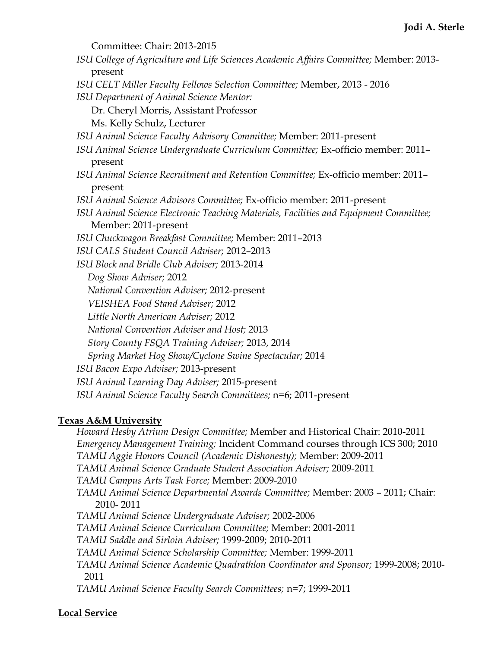Committee: Chair: 2013-2015 *ISU College of Agriculture and Life Sciences Academic Affairs Committee;* Member: 2013 present *ISU CELT Miller Faculty Fellows Selection Committee;* Member, 2013 - 2016 *ISU Department of Animal Science Mentor:* Dr. Cheryl Morris, Assistant Professor Ms. Kelly Schulz, Lecturer *ISU Animal Science Faculty Advisory Committee;* Member: 2011-present *ISU Animal Science Undergraduate Curriculum Committee;* Ex-officio member: 2011– present *ISU Animal Science Recruitment and Retention Committee;* Ex-officio member: 2011– present *ISU Animal Science Advisors Committee;* Ex-officio member: 2011-present *ISU Animal Science Electronic Teaching Materials, Facilities and Equipment Committee;*  Member: 2011-present *ISU Chuckwagon Breakfast Committee;* Member: 2011–2013 *ISU CALS Student Council Adviser;* 2012–2013 *ISU Block and Bridle Club Adviser;* 2013-2014 *Dog Show Adviser;* 2012 *National Convention Adviser;* 2012-present *VEISHEA Food Stand Adviser;* 2012 *Little North American Adviser;* 2012 *National Convention Adviser and Host;* 2013 *Story County FSQA Training Adviser;* 2013, 2014 *Spring Market Hog Show/Cyclone Swine Spectacular;* 2014 *ISU Bacon Expo Adviser;* 2013-present *ISU Animal Learning Day Adviser;* 2015-present *ISU Animal Science Faculty Search Committees;* n=6; 2011-present

# **Texas A&M University**

*Howard Hesby Atrium Design Committee;* Member and Historical Chair: 2010-2011 *Emergency Management Training;* Incident Command courses through ICS 300; 2010 *TAMU Aggie Honors Council (Academic Dishonesty);* Member: 2009-2011 *TAMU Animal Science Graduate Student Association Adviser;* 2009-2011 *TAMU Campus Arts Task Force;* Member: 2009-2010 *TAMU Animal Science Departmental Awards Committee;* Member: 2003 – 2011; Chair: 2010- 2011 *TAMU Animal Science Undergraduate Adviser;* 2002-2006 *TAMU Animal Science Curriculum Committee;* Member: 2001-2011 *TAMU Saddle and Sirloin Adviser;* 1999-2009; 2010-2011 *TAMU Animal Science Scholarship Committee;* Member: 1999-2011 *TAMU Animal Science Academic Quadrathlon Coordinator and Sponsor;* 1999-2008; 2010- 2011 *TAMU Animal Science Faculty Search Committees;* n=7; 1999-2011

# **Local Service**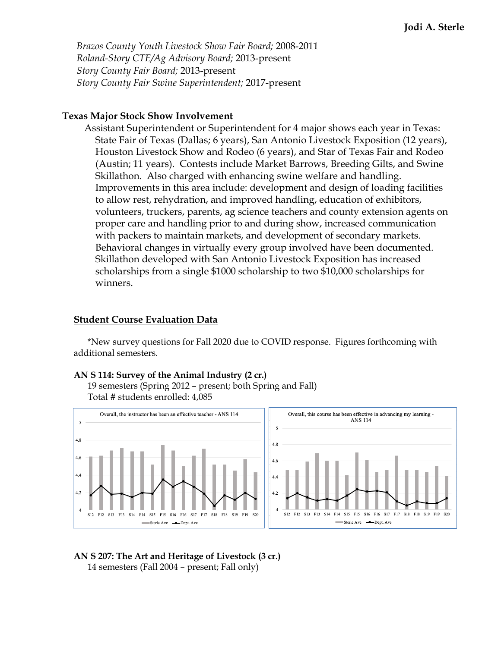*Brazos County Youth Livestock Show Fair Board;* 2008-2011 *Roland-Story CTE/Ag Advisory Board;* 2013-present *Story County Fair Board;* 2013-present *Story County Fair Swine Superintendent;* 2017-present

#### **Texas Major Stock Show Involvement**

Assistant Superintendent or Superintendent for 4 major shows each year in Texas: State Fair of Texas (Dallas; 6 years), San Antonio Livestock Exposition (12 years), Houston Livestock Show and Rodeo (6 years), and Star of Texas Fair and Rodeo (Austin; 11 years). Contests include Market Barrows, Breeding Gilts, and Swine Skillathon. Also charged with enhancing swine welfare and handling. Improvements in this area include: development and design of loading facilities to allow rest, rehydration, and improved handling, education of exhibitors, volunteers, truckers, parents, ag science teachers and county extension agents on proper care and handling prior to and during show, increased communication with packers to maintain markets, and development of secondary markets. Behavioral changes in virtually every group involved have been documented. Skillathon developed with San Antonio Livestock Exposition has increased scholarships from a single \$1000 scholarship to two \$10,000 scholarships for winners.

#### **Student Course Evaluation Data**

\*New survey questions for Fall 2020 due to COVID response. Figures forthcoming with additional semesters.

#### **AN S 114: Survey of the Animal Industry (2 cr.)**

19 semesters (Spring 2012 – present; both Spring and Fall) Total # students enrolled: 4,085



**AN S 207: The Art and Heritage of Livestock (3 cr.)** 14 semesters (Fall 2004 – present; Fall only)